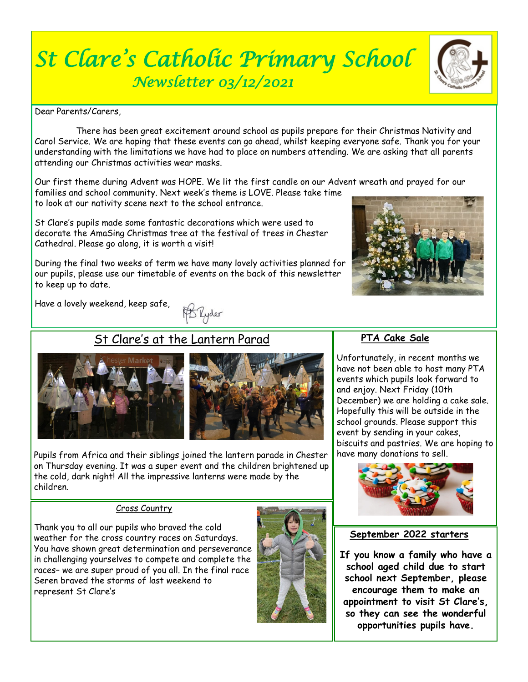# *St Clare's Catholic Primary School Newsletter 03/12/2021*

Dear Parents/Carers,

 There has been great excitement around school as pupils prepare for their Christmas Nativity and Carol Service. We are hoping that these events can go ahead, whilst keeping everyone safe. Thank you for your understanding with the limitations we have had to place on numbers attending. We are asking that all parents attending our Christmas activities wear masks.

Our first theme during Advent was HOPE. We lit the first candle on our Advent wreath and prayed for our families and school community. Next week's theme is LOVE. Please take time

to look at our nativity scene next to the school entrance.

St Clare's pupils made some fantastic decorations which were used to decorate the AmaSing Christmas tree at the festival of trees in Chester Cathedral. Please go along, it is worth a visit!

During the final two weeks of term we have many lovely activities planned for our pupils, please use our timetable of events on the back of this newsletter to keep up to date.

Have a lovely weekend, keep safe,

**B** Ryder

# St Clare's at the Lantern Parad



Pupils from Africa and their siblings joined the lantern parade in Chester on Thursday evening. It was a super event and the children brightened up the cold, dark night! All the impressive lanterns were made by the children.

#### Cross Country

Thank you to all our pupils who braved the cold weather for the cross country races on Saturdays. You have shown great determination and perseverance in challenging yourselves to compete and complete the races– we are super proud of you all. In the final race Seren braved the storms of last weekend to represent St Clare's



# **PTA Cake Sale**

Unfortunately, in recent months we have not been able to host many PTA events which pupils look forward to and enjoy. Next Friday (10th December) we are holding a cake sale. Hopefully this will be outside in the school grounds. Please support this event by sending in your cakes, biscuits and pastries. We are hoping to have many donations to sell.



# **September 2022 starters**

**If you know a family who have a school aged child due to start school next September, please encourage them to make an appointment to visit St Clare's, so they can see the wonderful opportunities pupils have.**